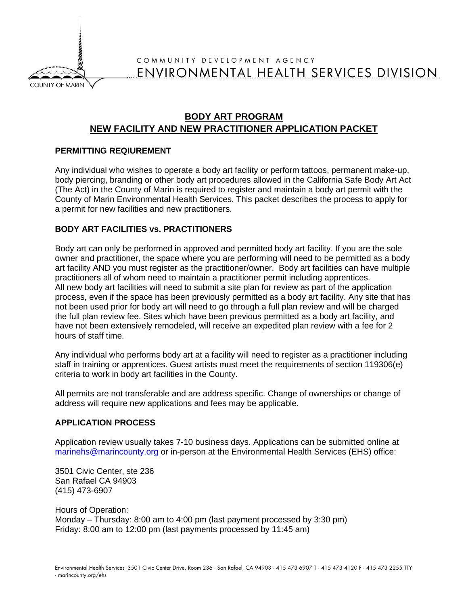

# COMMUNITY DEVELOPMENT AGENCY ENVIRONMENTAL HEALTH SERVICES DIVISION

## **BODY ART PROGRAM NEW FACILITY AND NEW PRACTITIONER APPLICATION PACKET**

#### **PERMITTING REQIUREMENT**

Any individual who wishes to operate a body art facility or perform tattoos, permanent make-up, body piercing, branding or other body art procedures allowed in the California Safe Body Art Act (The Act) in the County of Marin is required to register and maintain a body art permit with the County of Marin Environmental Health Services. This packet describes the process to apply for a permit for new facilities and new practitioners.

#### **BODY ART FACILITIES vs. PRACTITIONERS**

Body art can only be performed in approved and permitted body art facility. If you are the sole owner and practitioner, the space where you are performing will need to be permitted as a body art facility AND you must register as the practitioner/owner. Body art facilities can have multiple practitioners all of whom need to maintain a practitioner permit including apprentices. All new body art facilities will need to submit a site plan for review as part of the application process, even if the space has been previously permitted as a body art facility. Any site that has not been used prior for body art will need to go through a full plan review and will be charged the full plan review fee. Sites which have been previous permitted as a body art facility, and have not been extensively remodeled, will receive an expedited plan review with a fee for 2 hours of staff time.

Any individual who performs body art at a facility will need to register as a practitioner including staff in training or apprentices. Guest artists must meet the requirements of section 119306(e) criteria to work in body art facilities in the County.

All permits are not transferable and are address specific. Change of ownerships or change of address will require new applications and fees may be applicable.

#### **APPLICATION PROCESS**

Application review usually takes 7-10 business days. Applications can be submitted online at [marinehs@marincounty.org](mailto:marinehs@marincounty.org) or in-person at the Environmental Health Services (EHS) office:

3501 Civic Center, ste 236 San Rafael CA 94903 (415) 473-6907

Hours of Operation: Monday – Thursday: 8:00 am to 4:00 pm (last payment processed by 3:30 pm) Friday: 8:00 am to 12:00 pm (last payments processed by 11:45 am)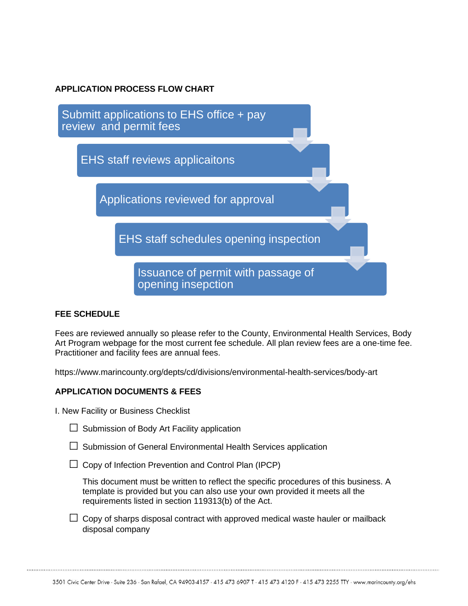### **APPLICATION PROCESS FLOW CHART**



### **FEE SCHEDULE**

Fees are reviewed annually so please refer to the County, Environmental Health Services, Body Art Program webpage for the most current fee schedule. All plan review fees are a one-time fee. Practitioner and facility fees are annual fees.

https://www.marincounty.org/depts/cd/divisions/environmental-health-services/body-art

### **APPLICATION DOCUMENTS & FEES**

I. New Facility or Business Checklist

| $\Box$ Submission of Body Art Facility application |
|----------------------------------------------------|

 $\square$  Submission of General Environmental Health Services application

 $\Box$  Copy of Infection Prevention and Control Plan (IPCP)

This document must be written to reflect the specific procedures of this business. A template is provided but you can also use your own provided it meets all the requirements listed in section 119313(b) of the Act.

 $\Box$  Copy of sharps disposal contract with approved medical waste hauler or mailback disposal company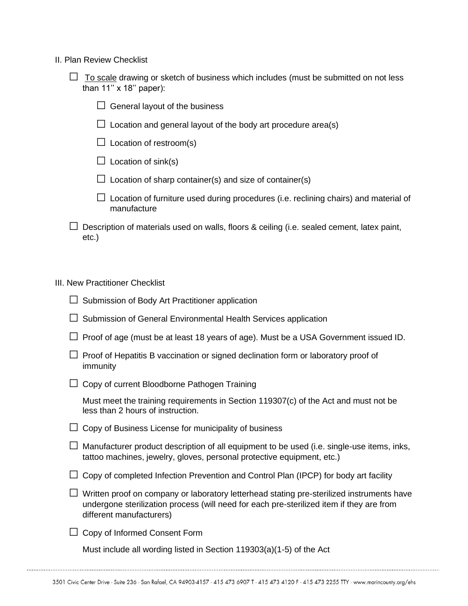- II. Plan Review Checklist
	- $\Box$  To scale drawing or sketch of business which includes (must be submitted on not less than 11'' x 18'' paper):
		- $\Box$  General layout of the business
		- $\Box$  Location and general layout of the body art procedure area(s)
		- $\Box$  Location of restroom(s)
		- $\Box$  Location of sink(s)
		- $\Box$  Location of sharp container(s) and size of container(s)
		- $\square$  Location of furniture used during procedures (i.e. reclining chairs) and material of manufacture
	- $\square$  Description of materials used on walls, floors & ceiling (i.e. sealed cement, latex paint, etc.)

### III. New Practitioner Checklist

| $\Box$ Submission of Body Art Practitioner application                                                                                                                                                            |
|-------------------------------------------------------------------------------------------------------------------------------------------------------------------------------------------------------------------|
| Submission of General Environmental Health Services application                                                                                                                                                   |
| Proof of age (must be at least 18 years of age). Must be a USA Government issued ID.                                                                                                                              |
| Proof of Hepatitis B vaccination or signed declination form or laboratory proof of<br>immunity                                                                                                                    |
| Copy of current Bloodborne Pathogen Training                                                                                                                                                                      |
| Must meet the training requirements in Section 119307(c) of the Act and must not be<br>less than 2 hours of instruction.                                                                                          |
| Copy of Business License for municipality of business                                                                                                                                                             |
| Manufacturer product description of all equipment to be used (i.e. single-use items, inks,<br>tattoo machines, jewelry, gloves, personal protective equipment, etc.)                                              |
| Copy of completed Infection Prevention and Control Plan (IPCP) for body art facility                                                                                                                              |
| Written proof on company or laboratory letterhead stating pre-sterilized instruments have<br>undergone sterilization process (will need for each pre-sterilized item if they are from<br>different manufacturers) |
| Copy of Informed Consent Form                                                                                                                                                                                     |

Must include all wording listed in Section 119303(a)(1-5) of the Act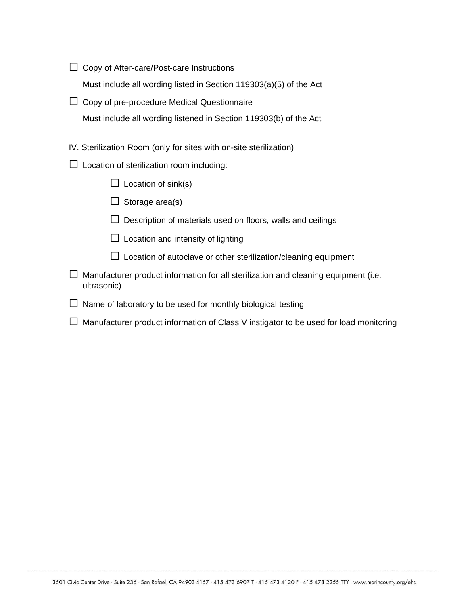$\Box$  Copy of After-care/Post-care Instructions

Must include all wording listed in Section 119303(a)(5) of the Act

 $\Box$  Copy of pre-procedure Medical Questionnaire Must include all wording listened in Section 119303(b) of the Act

IV. Sterilization Room (only for sites with on-site sterilization)

- $\Box$  Location of sterilization room including:
	- $\Box$  Location of sink(s)
	- $\Box$  Storage area(s)
	- $\square$  Description of materials used on floors, walls and ceilings
	- $\Box$  Location and intensity of lighting
	- $\square$  Location of autoclave or other sterilization/cleaning equipment
- $\square$  Manufacturer product information for all sterilization and cleaning equipment (i.e. ultrasonic)
- $\square$  Name of laboratory to be used for monthly biological testing
- $\square$  Manufacturer product information of Class V instigator to be used for load monitoring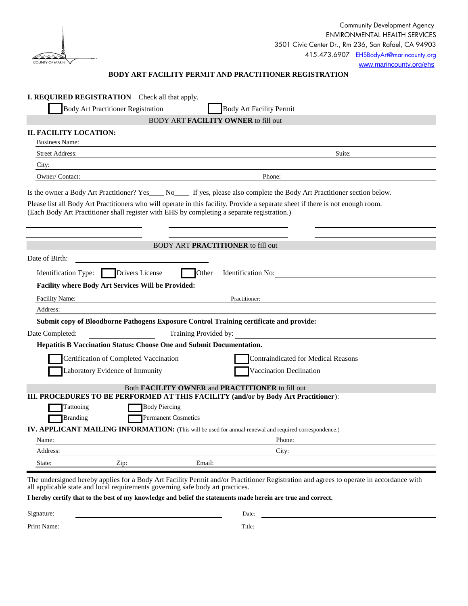| COUNTY OF MARIN |  |
|-----------------|--|
|                 |  |

#### **BODY ART FACILITY PERMIT AND PRACTITIONER REGISTRATION**

|                               | <b>I. REQUIRED REGISTRATION</b> Check all that apply.                                                                                                                                                                          |
|-------------------------------|--------------------------------------------------------------------------------------------------------------------------------------------------------------------------------------------------------------------------------|
|                               | <b>Body Art Practitioner Registration</b><br><b>Body Art Facility Permit</b><br><b>BODY ART FACILITY OWNER to fill out</b>                                                                                                     |
| <b>II. FACILITY LOCATION:</b> |                                                                                                                                                                                                                                |
| <b>Business Name:</b>         |                                                                                                                                                                                                                                |
| <b>Street Address:</b>        | Suite:                                                                                                                                                                                                                         |
| City:                         |                                                                                                                                                                                                                                |
| Owner/Contact:                | Phone:                                                                                                                                                                                                                         |
|                               | Is the owner a Body Art Practitioner? Yes____ No____ If yes, please also complete the Body Art Practitioner section below.                                                                                                     |
|                               | Please list all Body Art Practitioners who will operate in this facility. Provide a separate sheet if there is not enough room.<br>(Each Body Art Practitioner shall register with EHS by completing a separate registration.) |
|                               | <b>BODY ART PRACTITIONER</b> to fill out                                                                                                                                                                                       |
| Date of Birth:                |                                                                                                                                                                                                                                |
| Identification Type:          | Drivers License<br>Other<br><b>Identification No:</b>                                                                                                                                                                          |
|                               | Facility where Body Art Services Will be Provided:                                                                                                                                                                             |
| Facility Name:                | Practitioner:                                                                                                                                                                                                                  |
| Address:                      |                                                                                                                                                                                                                                |
|                               | Submit copy of Bloodborne Pathogens Exposure Control Training certificate and provide:                                                                                                                                         |
| Date Completed:               | Training Provided by:                                                                                                                                                                                                          |
|                               | Hepatitis B Vaccination Status: Choose One and Submit Documentation.                                                                                                                                                           |
|                               | Certification of Completed Vaccination<br><b>Contraindicated for Medical Reasons</b>                                                                                                                                           |
|                               | aboratory Evidence of Immunity<br>Vaccination Declination                                                                                                                                                                      |
|                               | Both <b>FACILITY OWNER</b> and <b>PRACTITIONER</b> to fill out                                                                                                                                                                 |
| Tattooing                     | III. PROCEDURES TO BE PERFORMED AT THIS FACILITY (and/or by Body Art Practitioner):<br><b>Body Piercing</b>                                                                                                                    |
| Branding                      | <b>Permanent Cosmetics</b>                                                                                                                                                                                                     |
|                               | IV. APPLICANT MAILING INFORMATION: (This will be used for annual renewal and required correspondence.)                                                                                                                         |
| Name:                         | Phone:                                                                                                                                                                                                                         |
| Address:                      | City:                                                                                                                                                                                                                          |
| State:                        | Zip:<br>Email:                                                                                                                                                                                                                 |
|                               |                                                                                                                                                                                                                                |

The undersigned hereby applies for a Body Art Facility Permit and/or Practitioner Registration and agrees to operate in accordance with all applicable state and local requirements governing safe body art practices.

**I hereby certify that to the best of my knowledge and belief the statements made herein are true and correct.** 

Signature: Date: Date:

Print Name: Title: